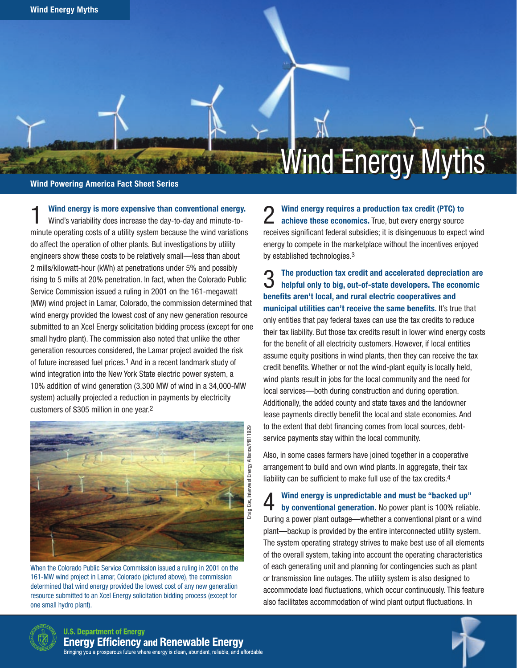Wind Powering America Fact Sheet Series

Wind energy is more expensive than conventional energy. Wind's variability does increase the day-to-day and minute-tominute operating costs of a utility system because the wind variations do affect the operation of other plants. But investigations by utility engineers show these costs to be relatively small—less than about 2 mills/kilowatt-hour (kWh) at penetrations under 5% and possibly rising to 5 mills at 20% penetration. In fact, when the Colorado Public Service Commission issued a ruling in 2001 on the 161-megawatt (MW) wind project in Lamar, Colorado, the commission determined that wind energy provided the lowest cost of any new generation resource submitted to an Xcel Energy solicitation bidding process (except for one small hydro plant). The commission also noted that unlike the other generation resources considered, the Lamar project avoided the risk of future increased fuel prices.1 And in a recent landmark study of wind integration into the New York State electric power system, a 10% addition of wind generation (3,300 MW of wind in a 34,000-MW system) actually projected a reduction in payments by electricity customers of \$305 million in one year.2



When the Colorado Public Service Commission issued a ruling in 2001 on the 161-MW wind project in Lamar, Colorado (pictured above), the commission determined that wind energy provided the lowest cost of any new generation resource submitted to an Xcel Energy solicitation bidding process (except for one small hydro plant).

◯ Wind energy requires a production tax credit (PTC) to achieve these economics. True, but every energy source receives significant federal subsidies; it is disingenuous to expect wind energy to compete in the marketplace without the incentives enjoyed by established technologies.3

Wind Energy Myths Wind Energy Myths

**3** The production tax credit and accelerated depreciation are helpful only to big, out-of-state developers. The economic benefits aren't local, and rural electric cooperatives and municipal utilities can't receive the same benefits. It's true that only entities that pay federal taxes can use the tax credits to reduce their tax liability. But those tax credits result in lower wind energy costs for the benefit of all electricity customers. However, if local entities assume equity positions in wind plants, then they can receive the tax credit benefits. Whether or not the wind-plant equity is locally held, wind plants result in jobs for the local community and the need for local services—both during construction and during operation. Additionally, the added county and state taxes and the landowner lease payments directly benefit the local and state economies. And to the extent that debt financing comes from local sources, debtservice payments stay within the local community.

Also, in some cases farmers have joined together in a cooperative arrangement to build and own wind plants. In aggregate, their tax liability can be sufficient to make full use of the tax credits.<sup>4</sup>

4 Wind energy is unpredictable and must be "backed up" by conventional generation. No power plant is 100% reliable. During a power plant outage—whether a conventional plant or a wind plant—backup is provided by the entire interconnected utility system. The system operating strategy strives to make best use of all elements of the overall system, taking into account the operating characteristics of each generating unit and planning for contingencies such as plant or transmission line outages. The utility system is also designed to accommodate load fluctuations, which occur continuously. This feature also facilitates accommodation of wind plant output fluctuations. In